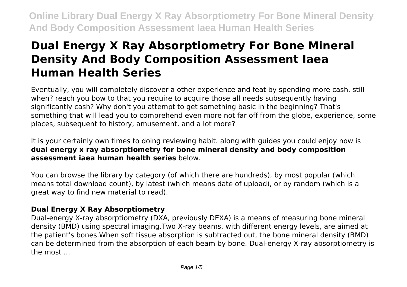# **Dual Energy X Ray Absorptiometry For Bone Mineral Density And Body Composition Assessment Iaea Human Health Series**

Eventually, you will completely discover a other experience and feat by spending more cash. still when? reach you bow to that you require to acquire those all needs subsequently having significantly cash? Why don't you attempt to get something basic in the beginning? That's something that will lead you to comprehend even more not far off from the globe, experience, some places, subsequent to history, amusement, and a lot more?

It is your certainly own times to doing reviewing habit. along with guides you could enjoy now is **dual energy x ray absorptiometry for bone mineral density and body composition assessment iaea human health series** below.

You can browse the library by category (of which there are hundreds), by most popular (which means total download count), by latest (which means date of upload), or by random (which is a great way to find new material to read).

# **Dual Energy X Ray Absorptiometry**

Dual-energy X-ray absorptiometry (DXA, previously DEXA) is a means of measuring bone mineral density (BMD) using spectral imaging.Two X-ray beams, with different energy levels, are aimed at the patient's bones.When soft tissue absorption is subtracted out, the bone mineral density (BMD) can be determined from the absorption of each beam by bone. Dual-energy X-ray absorptiometry is the most ...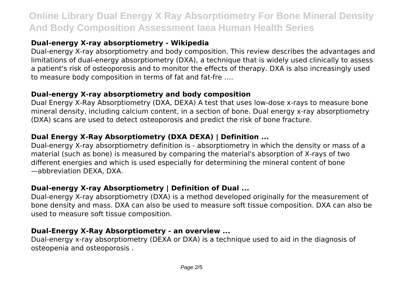# **Dual-energy X-ray absorptiometry - Wikipedia**

Dual-energy X-ray absorptiometry and body composition. This review describes the advantages and limitations of dual-energy absorptiometry (DXA), a technique that is widely used clinically to assess a patient's risk of osteoporosis and to monitor the effects of therapy. DXA is also increasingly used to measure body composition in terms of fat and fat-fre ….

#### **Dual-energy X-ray absorptiometry and body composition**

Dual Energy X-Ray Absorptiometry (DXA, DEXA) A test that uses low-dose x-rays to measure bone mineral density, including calcium content, in a section of bone. Dual energy x-ray absorptiometry (DXA) scans are used to detect osteoporosis and predict the risk of bone fracture.

# **Dual Energy X-Ray Absorptiometry (DXA DEXA) | Definition ...**

Dual-energy X-ray absorptiometry definition is - absorptiometry in which the density or mass of a material (such as bone) is measured by comparing the material's absorption of X-rays of two different energies and which is used especially for determining the mineral content of bone —abbreviation DEXA, DXA.

# **Dual-energy X-ray Absorptiometry | Definition of Dual ...**

Dual-energy X-ray absorptiometry (DXA) is a method developed originally for the measurement of bone density and mass. DXA can also be used to measure soft tissue composition. DXA can also be used to measure soft tissue composition.

#### **Dual-Energy X-Ray Absorptiometry - an overview ...**

Dual-energy x-ray absorptiometry (DEXA or DXA) is a technique used to aid in the diagnosis of osteopenia and osteoporosis .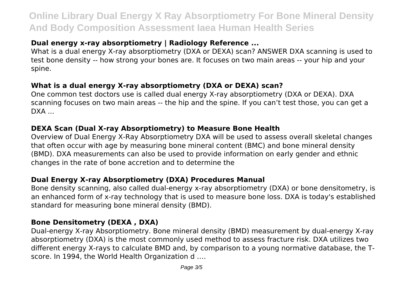# **Dual energy x-ray absorptiometry | Radiology Reference ...**

What is a dual energy X-ray absorptiometry (DXA or DEXA) scan? ANSWER DXA scanning is used to test bone density -- how strong your bones are. It focuses on two main areas -- your hip and your spine.

#### **What is a dual energy X-ray absorptiometry (DXA or DEXA) scan?**

One common test doctors use is called dual energy X-ray absorptiometry (DXA or DEXA). DXA scanning focuses on two main areas -- the hip and the spine. If you can't test those, you can get a  $DXA$  ...

#### **DEXA Scan (Dual X-ray Absorptiometry) to Measure Bone Health**

Overview of Dual Energy X-Ray Absorptiometry DXA will be used to assess overall skeletal changes that often occur with age by measuring bone mineral content (BMC) and bone mineral density (BMD). DXA measurements can also be used to provide information on early gender and ethnic changes in the rate of bone accretion and to determine the

#### **Dual Energy X-ray Absorptiometry (DXA) Procedures Manual**

Bone density scanning, also called dual-energy x-ray absorptiometry (DXA) or bone densitometry, is an enhanced form of x-ray technology that is used to measure bone loss. DXA is today's established standard for measuring bone mineral density (BMD).

#### **Bone Densitometry (DEXA , DXA)**

Dual-energy X-ray Absorptiometry. Bone mineral density (BMD) measurement by dual-energy X-ray absorptiometry (DXA) is the most commonly used method to assess fracture risk. DXA utilizes two different energy X-rays to calculate BMD and, by comparison to a young normative database, the Tscore. In 1994, the World Health Organization d ….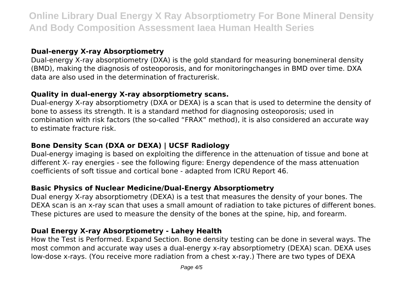#### **Dual-energy X-ray Absorptiometry**

Dual-energy X-ray absorptiometry (DXA) is the gold standard for measuring bonemineral density (BMD), making the diagnosis of osteoporosis, and for monitoringchanges in BMD over time. DXA data are also used in the determination of fracturerisk.

#### **Quality in dual-energy X-ray absorptiometry scans.**

Dual-energy X-ray absorptiometry (DXA or DEXA) is a scan that is used to determine the density of bone to assess its strength. It is a standard method for diagnosing osteoporosis; used in combination with risk factors (the so-called "FRAX" method), it is also considered an accurate way to estimate fracture risk.

# **Bone Density Scan (DXA or DEXA) | UCSF Radiology**

Dual-energy imaging is based on exploiting the difference in the attenuation of tissue and bone at different X- ray energies - see the following figure: Energy dependence of the mass attenuation coefficients of soft tissue and cortical bone - adapted from ICRU Report 46.

#### **Basic Physics of Nuclear Medicine/Dual-Energy Absorptiometry**

Dual energy X-ray absorptiometry (DEXA) is a test that measures the density of your bones. The DEXA scan is an x-ray scan that uses a small amount of radiation to take pictures of different bones. These pictures are used to measure the density of the bones at the spine, hip, and forearm.

#### **Dual Energy X-ray Absorptiometry - Lahey Health**

How the Test is Performed. Expand Section. Bone density testing can be done in several ways. The most common and accurate way uses a dual-energy x-ray absorptiometry (DEXA) scan. DEXA uses low-dose x-rays. (You receive more radiation from a chest x-ray.) There are two types of DEXA